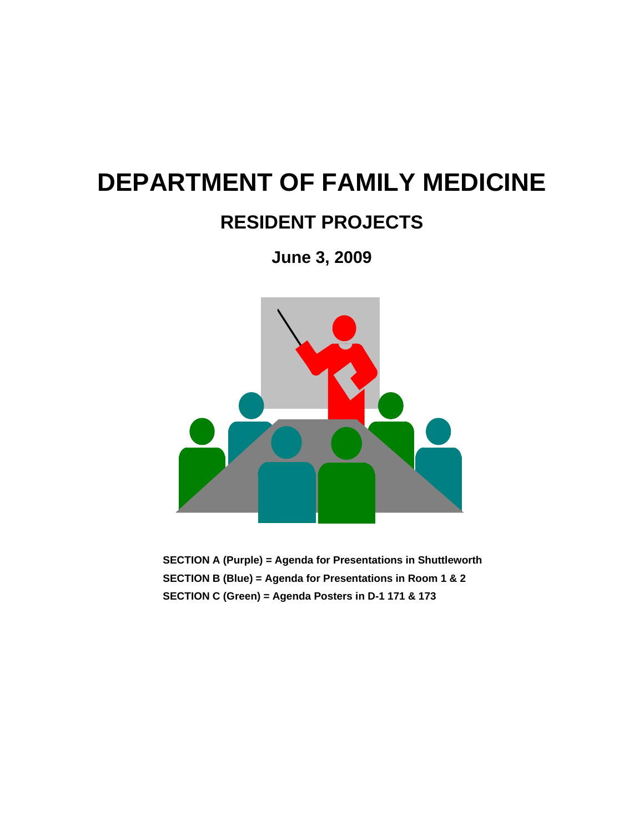# **DEPARTMENT OF FAMILY MEDICINE**

# **RESIDENT PROJECTS**

**June 3, 2009** 



**SECTION A (Purple) = Agenda for Presentations in Shuttleworth SECTION B (Blue) = Agenda for Presentations in Room 1 & 2 SECTION C (Green) = Agenda Posters in D-1 171 & 173**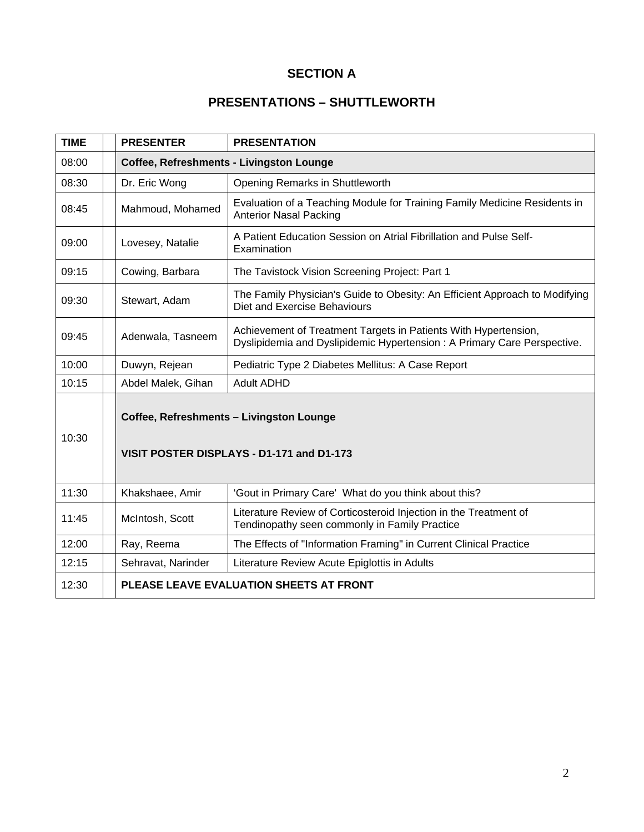# **SECTION A**

# **PRESENTATIONS – SHUTTLEWORTH**

| <b>TIME</b> | <b>PRESENTER</b>                                                                      | <b>PRESENTATION</b>                                                                                                                        |  |
|-------------|---------------------------------------------------------------------------------------|--------------------------------------------------------------------------------------------------------------------------------------------|--|
| 08:00       | Coffee, Refreshments - Livingston Lounge                                              |                                                                                                                                            |  |
| 08:30       | Dr. Eric Wong                                                                         | Opening Remarks in Shuttleworth                                                                                                            |  |
| 08:45       | Mahmoud, Mohamed                                                                      | Evaluation of a Teaching Module for Training Family Medicine Residents in<br><b>Anterior Nasal Packing</b>                                 |  |
| 09:00       | Lovesey, Natalie                                                                      | A Patient Education Session on Atrial Fibrillation and Pulse Self-<br>Examination                                                          |  |
| 09:15       | Cowing, Barbara                                                                       | The Tavistock Vision Screening Project: Part 1                                                                                             |  |
| 09:30       | Stewart, Adam                                                                         | The Family Physician's Guide to Obesity: An Efficient Approach to Modifying<br>Diet and Exercise Behaviours                                |  |
| 09:45       | Adenwala, Tasneem                                                                     | Achievement of Treatment Targets in Patients With Hypertension,<br>Dyslipidemia and Dyslipidemic Hypertension: A Primary Care Perspective. |  |
| 10:00       | Duwyn, Rejean                                                                         | Pediatric Type 2 Diabetes Mellitus: A Case Report                                                                                          |  |
| 10:15       | Abdel Malek, Gihan                                                                    | <b>Adult ADHD</b>                                                                                                                          |  |
| 10:30       | Coffee, Refreshments - Livingston Lounge<br>VISIT POSTER DISPLAYS - D1-171 and D1-173 |                                                                                                                                            |  |
| 11:30       | Khakshaee, Amir                                                                       | 'Gout in Primary Care' What do you think about this?                                                                                       |  |
| 11:45       | McIntosh, Scott                                                                       | Literature Review of Corticosteroid Injection in the Treatment of<br>Tendinopathy seen commonly in Family Practice                         |  |
| 12:00       | Ray, Reema                                                                            | The Effects of "Information Framing" in Current Clinical Practice                                                                          |  |
| 12:15       | Sehravat, Narinder                                                                    | Literature Review Acute Epiglottis in Adults                                                                                               |  |
| 12:30       |                                                                                       | PLEASE LEAVE EVALUATION SHEETS AT FRONT                                                                                                    |  |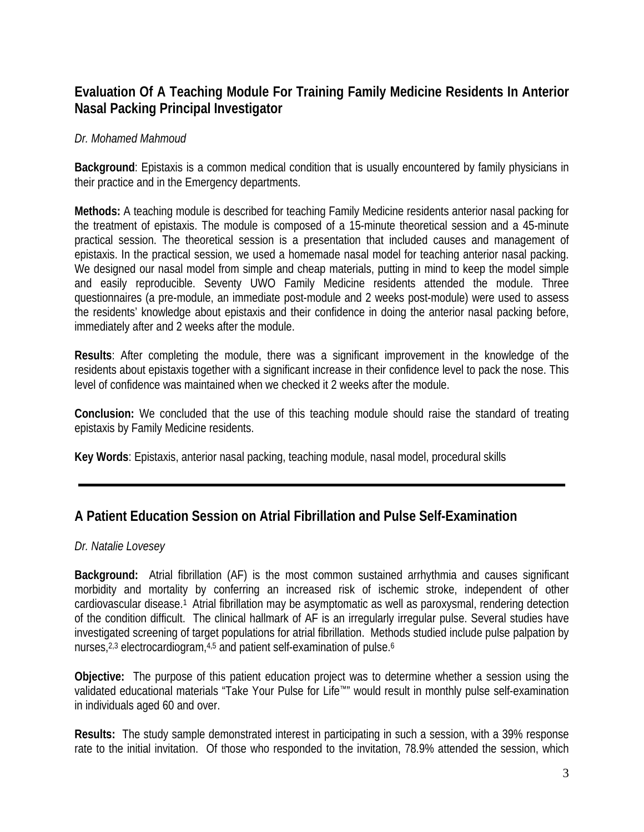# **Evaluation Of A Teaching Module For Training Family Medicine Residents In Anterior Nasal Packing Principal Investigator**

### *Dr. Mohamed Mahmoud*

**Background**: Epistaxis is a common medical condition that is usually encountered by family physicians in their practice and in the Emergency departments.

**Methods:** A teaching module is described for teaching Family Medicine residents anterior nasal packing for the treatment of epistaxis. The module is composed of a 15-minute theoretical session and a 45-minute practical session. The theoretical session is a presentation that included causes and management of epistaxis. In the practical session, we used a homemade nasal model for teaching anterior nasal packing. We designed our nasal model from simple and cheap materials, putting in mind to keep the model simple and easily reproducible. Seventy UWO Family Medicine residents attended the module. Three questionnaires (a pre-module, an immediate post-module and 2 weeks post-module) were used to assess the residents' knowledge about epistaxis and their confidence in doing the anterior nasal packing before, immediately after and 2 weeks after the module.

**Results**: After completing the module, there was a significant improvement in the knowledge of the residents about epistaxis together with a significant increase in their confidence level to pack the nose. This level of confidence was maintained when we checked it 2 weeks after the module.

**Conclusion:** We concluded that the use of this teaching module should raise the standard of treating epistaxis by Family Medicine residents.

**Key Words**: Epistaxis, anterior nasal packing, teaching module, nasal model, procedural skills

### **A Patient Education Session on Atrial Fibrillation and Pulse Self-Examination**

### *Dr. Natalie Lovesey*

**Background:** Atrial fibrillation (AF) is the most common sustained arrhythmia and causes significant morbidity and mortality by conferring an increased risk of ischemic stroke, independent of other cardiovascular disease.1 Atrial fibrillation may be asymptomatic as well as paroxysmal, rendering detection of the condition difficult. The clinical hallmark of AF is an irregularly irregular pulse. Several studies have investigated screening of target populations for atrial fibrillation. Methods studied include pulse palpation by nurses,<sup>2,3</sup> electrocardiogram,<sup>4,5</sup> and patient self-examination of pulse.<sup>6</sup>

**Objective:** The purpose of this patient education project was to determine whether a session using the validated educational materials "Take Your Pulse for Life™" would result in monthly pulse self-examination in individuals aged 60 and over.

**Results:** The study sample demonstrated interest in participating in such a session, with a 39% response rate to the initial invitation. Of those who responded to the invitation, 78.9% attended the session, which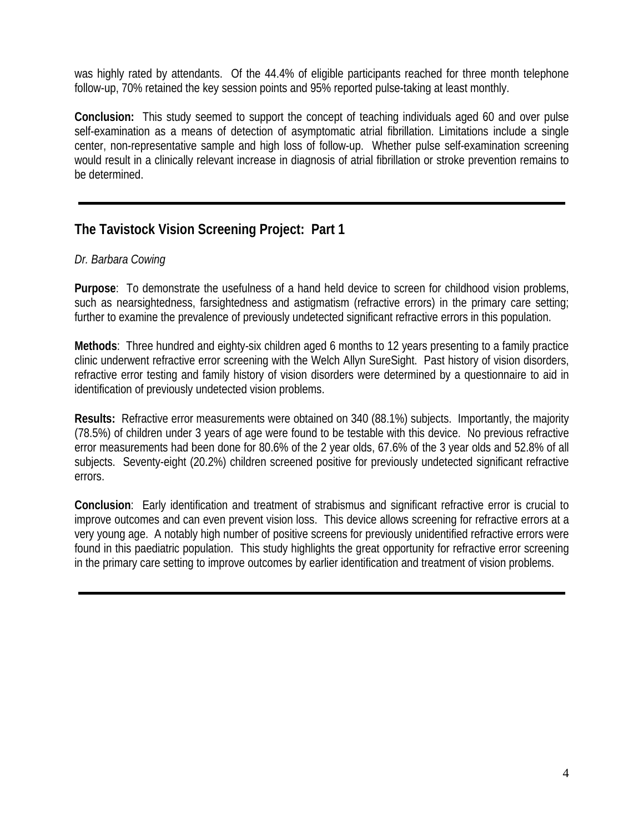was highly rated by attendants. Of the 44.4% of eligible participants reached for three month telephone follow-up, 70% retained the key session points and 95% reported pulse-taking at least monthly.

**Conclusion:** This study seemed to support the concept of teaching individuals aged 60 and over pulse self-examination as a means of detection of asymptomatic atrial fibrillation. Limitations include a single center, non-representative sample and high loss of follow-up. Whether pulse self-examination screening would result in a clinically relevant increase in diagnosis of atrial fibrillation or stroke prevention remains to be determined.

# **The Tavistock Vision Screening Project: Part 1**

### *Dr. Barbara Cowing*

**Purpose**: To demonstrate the usefulness of a hand held device to screen for childhood vision problems, such as nearsightedness, farsightedness and astigmatism (refractive errors) in the primary care setting; further to examine the prevalence of previously undetected significant refractive errors in this population.

**Methods**: Three hundred and eighty-six children aged 6 months to 12 years presenting to a family practice clinic underwent refractive error screening with the Welch Allyn SureSight. Past history of vision disorders, refractive error testing and family history of vision disorders were determined by a questionnaire to aid in identification of previously undetected vision problems.

**Results:** Refractive error measurements were obtained on 340 (88.1%) subjects. Importantly, the majority (78.5%) of children under 3 years of age were found to be testable with this device. No previous refractive error measurements had been done for 80.6% of the 2 year olds, 67.6% of the 3 year olds and 52.8% of all subjects. Seventy-eight (20.2%) children screened positive for previously undetected significant refractive errors.

**Conclusion**: Early identification and treatment of strabismus and significant refractive error is crucial to improve outcomes and can even prevent vision loss. This device allows screening for refractive errors at a very young age. A notably high number of positive screens for previously unidentified refractive errors were found in this paediatric population. This study highlights the great opportunity for refractive error screening in the primary care setting to improve outcomes by earlier identification and treatment of vision problems.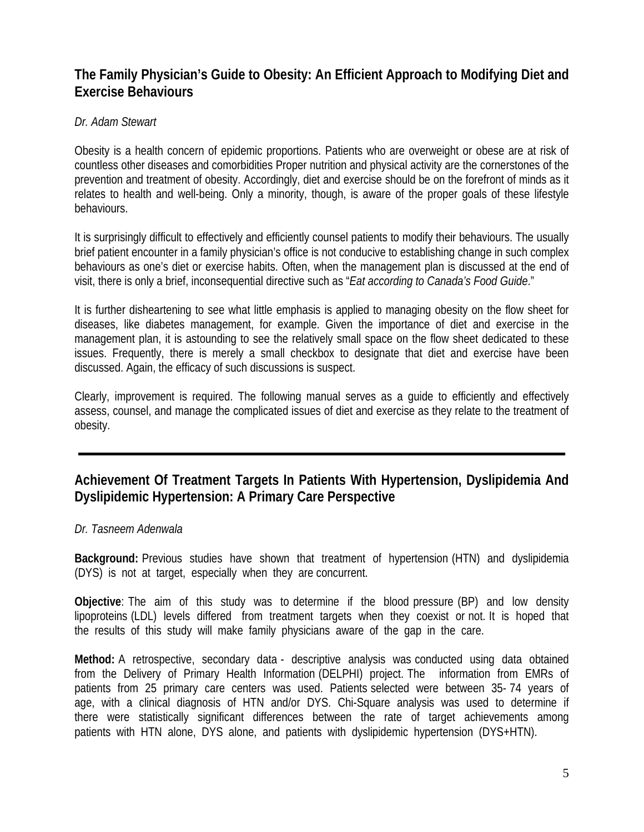# **The Family Physician's Guide to Obesity: An Efficient Approach to Modifying Diet and Exercise Behaviours**

### *Dr. Adam Stewart*

Obesity is a health concern of epidemic proportions. Patients who are overweight or obese are at risk of countless other diseases and comorbidities Proper nutrition and physical activity are the cornerstones of the prevention and treatment of obesity. Accordingly, diet and exercise should be on the forefront of minds as it relates to health and well-being. Only a minority, though, is aware of the proper goals of these lifestyle behaviours.

It is surprisingly difficult to effectively and efficiently counsel patients to modify their behaviours. The usually brief patient encounter in a family physician's office is not conducive to establishing change in such complex behaviours as one's diet or exercise habits. Often, when the management plan is discussed at the end of visit, there is only a brief, inconsequential directive such as "*Eat according to Canada's Food Guide*."

It is further disheartening to see what little emphasis is applied to managing obesity on the flow sheet for diseases, like diabetes management, for example. Given the importance of diet and exercise in the management plan, it is astounding to see the relatively small space on the flow sheet dedicated to these issues. Frequently, there is merely a small checkbox to designate that diet and exercise have been discussed. Again, the efficacy of such discussions is suspect.

Clearly, improvement is required. The following manual serves as a guide to efficiently and effectively assess, counsel, and manage the complicated issues of diet and exercise as they relate to the treatment of obesity.

# **Achievement Of Treatment Targets In Patients With Hypertension, Dyslipidemia And Dyslipidemic Hypertension: A Primary Care Perspective**

### *Dr. Tasneem Adenwala*

**Background:** Previous studies have shown that treatment of hypertension (HTN) and dyslipidemia (DYS) is not at target, especially when they are concurrent.

**Objective**: The aim of this study was to determine if the blood pressure (BP) and low density lipoproteins (LDL) levels differed from treatment targets when they coexist or not. It is hoped that the results of this study will make family physicians aware of the gap in the care.

**Method:** A retrospective, secondary data - descriptive analysis was conducted using data obtained from the Delivery of Primary Health Information (DELPHI) project. The information from EMRs of patients from 25 primary care centers was used. Patients selected were between 35- 74 years of age, with a clinical diagnosis of HTN and/or DYS. Chi-Square analysis was used to determine if there were statistically significant differences between the rate of target achievements among patients with HTN alone, DYS alone, and patients with dyslipidemic hypertension (DYS+HTN).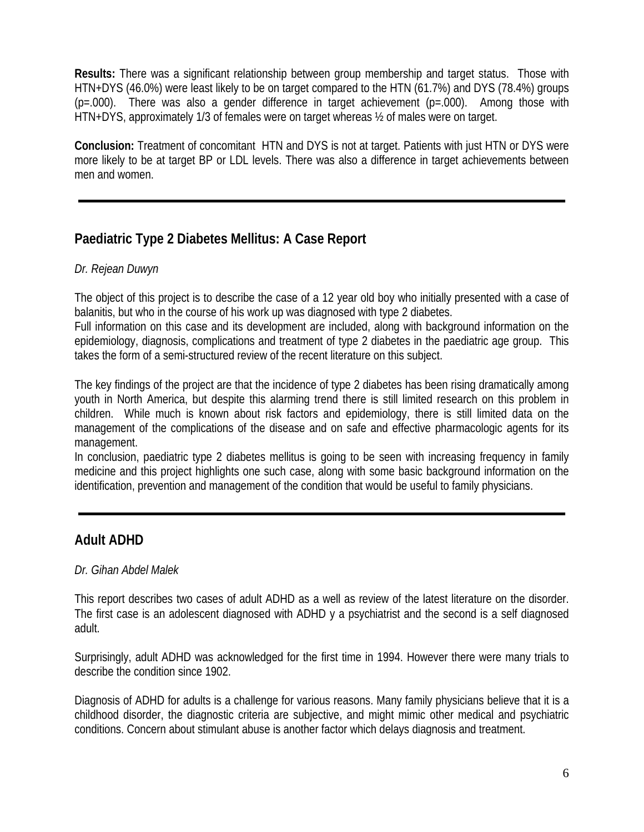**Results:** There was a significant relationship between group membership and target status. Those with HTN+DYS (46.0%) were least likely to be on target compared to the HTN (61.7%) and DYS (78.4%) groups  $(p=.000)$ . There was also a gender difference in target achievement  $(p=.000)$ . Among those with HTN+DYS, approximately 1/3 of females were on target whereas ½ of males were on target.

**Conclusion:** Treatment of concomitant HTN and DYS is not at target. Patients with just HTN or DYS were more likely to be at target BP or LDL levels. There was also a difference in target achievements between men and women.

# **Paediatric Type 2 Diabetes Mellitus: A Case Report**

### *Dr. Rejean Duwyn*

The object of this project is to describe the case of a 12 year old boy who initially presented with a case of balanitis, but who in the course of his work up was diagnosed with type 2 diabetes.

Full information on this case and its development are included, along with background information on the epidemiology, diagnosis, complications and treatment of type 2 diabetes in the paediatric age group. This takes the form of a semi-structured review of the recent literature on this subject.

The key findings of the project are that the incidence of type 2 diabetes has been rising dramatically among youth in North America, but despite this alarming trend there is still limited research on this problem in children. While much is known about risk factors and epidemiology, there is still limited data on the management of the complications of the disease and on safe and effective pharmacologic agents for its management.

In conclusion, paediatric type 2 diabetes mellitus is going to be seen with increasing frequency in family medicine and this project highlights one such case, along with some basic background information on the identification, prevention and management of the condition that would be useful to family physicians.

# **Adult ADHD**

### *Dr. Gihan Abdel Malek*

This report describes two cases of adult ADHD as a well as review of the latest literature on the disorder. The first case is an adolescent diagnosed with ADHD y a psychiatrist and the second is a self diagnosed adult.

Surprisingly, adult ADHD was acknowledged for the first time in 1994. However there were many trials to describe the condition since 1902.

Diagnosis of ADHD for adults is a challenge for various reasons. Many family physicians believe that it is a childhood disorder, the diagnostic criteria are subjective, and might mimic other medical and psychiatric conditions. Concern about stimulant abuse is another factor which delays diagnosis and treatment.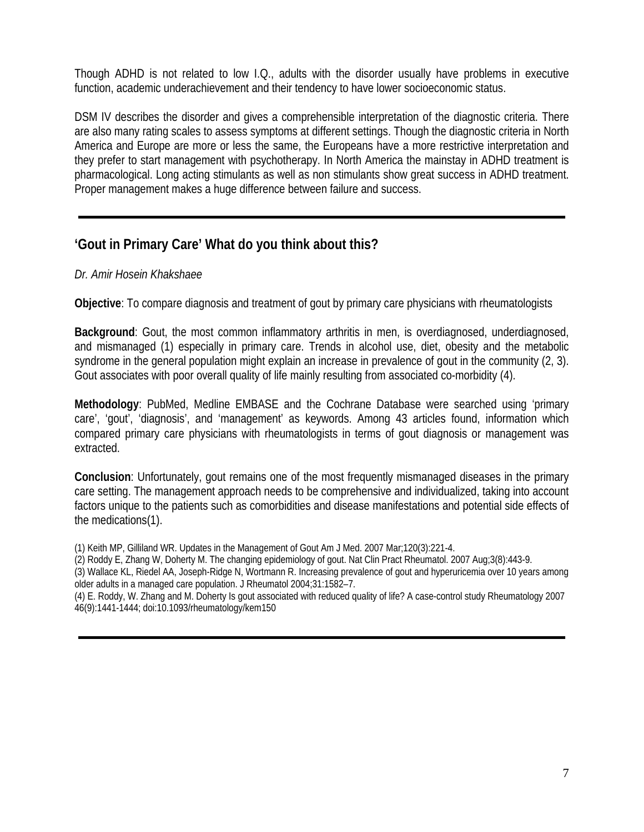Though ADHD is not related to low I.Q., adults with the disorder usually have problems in executive function, academic underachievement and their tendency to have lower socioeconomic status.

DSM IV describes the disorder and gives a comprehensible interpretation of the diagnostic criteria. There are also many rating scales to assess symptoms at different settings. Though the diagnostic criteria in North America and Europe are more or less the same, the Europeans have a more restrictive interpretation and they prefer to start management with psychotherapy. In North America the mainstay in ADHD treatment is pharmacological. Long acting stimulants as well as non stimulants show great success in ADHD treatment. Proper management makes a huge difference between failure and success.

# **'Gout in Primary Care' What do you think about this?**

### *Dr. Amir Hosein Khakshaee*

**Objective**: To compare diagnosis and treatment of gout by primary care physicians with rheumatologists

**Background**: Gout, the most common inflammatory arthritis in men, is overdiagnosed, underdiagnosed, and mismanaged (1) especially in primary care. Trends in alcohol use, diet, obesity and the metabolic syndrome in the general population might explain an increase in prevalence of gout in the community (2, 3). Gout associates with poor overall quality of life mainly resulting from associated co-morbidity (4).

**Methodology**: PubMed, Medline EMBASE and the Cochrane Database were searched using 'primary care', 'gout', 'diagnosis', and 'management' as keywords. Among 43 articles found, information which compared primary care physicians with rheumatologists in terms of gout diagnosis or management was extracted.

**Conclusion**: Unfortunately, gout remains one of the most frequently mismanaged diseases in the primary care setting. The management approach needs to be comprehensive and individualized, taking into account factors unique to the patients such as comorbidities and disease manifestations and potential side effects of the medications(1).

(1) Keith MP, Gilliland WR. Updates in the Management of Gout Am J Med. 2007 Mar;120(3):221-4.

(2) Roddy E, Zhang W, Doherty M. The changing epidemiology of gout. Nat Clin Pract Rheumatol. 2007 Aug;3(8):443-9.

(3) Wallace KL, Riedel AA, Joseph-Ridge N, Wortmann R. Increasing prevalence of gout and hyperuricemia over 10 years among older adults in a managed care population. J Rheumatol 2004;31:1582–7.

(4) E. Roddy, W. Zhang and M. Doherty Is gout associated with reduced quality of life? A case-control study Rheumatology 2007 46(9):1441-1444; doi:10.1093/rheumatology/kem150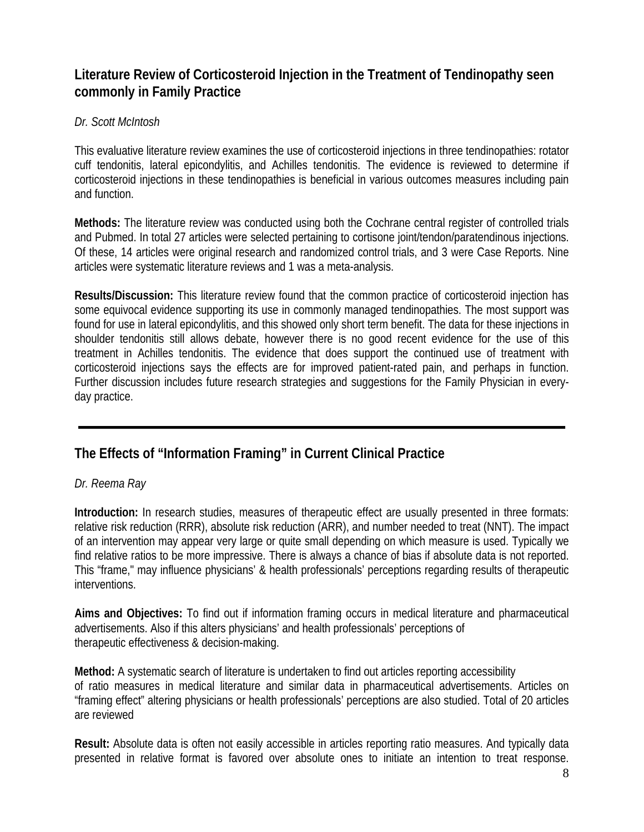# **Literature Review of Corticosteroid Injection in the Treatment of Tendinopathy seen commonly in Family Practice**

### *Dr. Scott McIntosh*

This evaluative literature review examines the use of corticosteroid injections in three tendinopathies: rotator cuff tendonitis, lateral epicondylitis, and Achilles tendonitis. The evidence is reviewed to determine if corticosteroid injections in these tendinopathies is beneficial in various outcomes measures including pain and function.

**Methods:** The literature review was conducted using both the Cochrane central register of controlled trials and Pubmed. In total 27 articles were selected pertaining to cortisone joint/tendon/paratendinous injections. Of these, 14 articles were original research and randomized control trials, and 3 were Case Reports. Nine articles were systematic literature reviews and 1 was a meta-analysis.

**Results/Discussion:** This literature review found that the common practice of corticosteroid injection has some equivocal evidence supporting its use in commonly managed tendinopathies. The most support was found for use in lateral epicondylitis, and this showed only short term benefit. The data for these injections in shoulder tendonitis still allows debate, however there is no good recent evidence for the use of this treatment in Achilles tendonitis. The evidence that does support the continued use of treatment with corticosteroid injections says the effects are for improved patient-rated pain, and perhaps in function. Further discussion includes future research strategies and suggestions for the Family Physician in everyday practice.

# **The Effects of "Information Framing" in Current Clinical Practice**

### *Dr. Reema Ray*

**Introduction:** In research studies, measures of therapeutic effect are usually presented in three formats: relative risk reduction (RRR), absolute risk reduction (ARR), and number needed to treat (NNT). The impact of an intervention may appear very large or quite small depending on which measure is used. Typically we find relative ratios to be more impressive. There is always a chance of bias if absolute data is not reported. This "frame," may influence physicians' & health professionals' perceptions regarding results of therapeutic interventions.

**Aims and Objectives:** To find out if information framing occurs in medical literature and pharmaceutical advertisements. Also if this alters physicians' and health professionals' perceptions of therapeutic effectiveness & decision-making.

**Method:** A systematic search of literature is undertaken to find out articles reporting accessibility of ratio measures in medical literature and similar data in pharmaceutical advertisements. Articles on "framing effect" altering physicians or health professionals' perceptions are also studied. Total of 20 articles are reviewed

**Result:** Absolute data is often not easily accessible in articles reporting ratio measures. And typically data presented in relative format is favored over absolute ones to initiate an intention to treat response.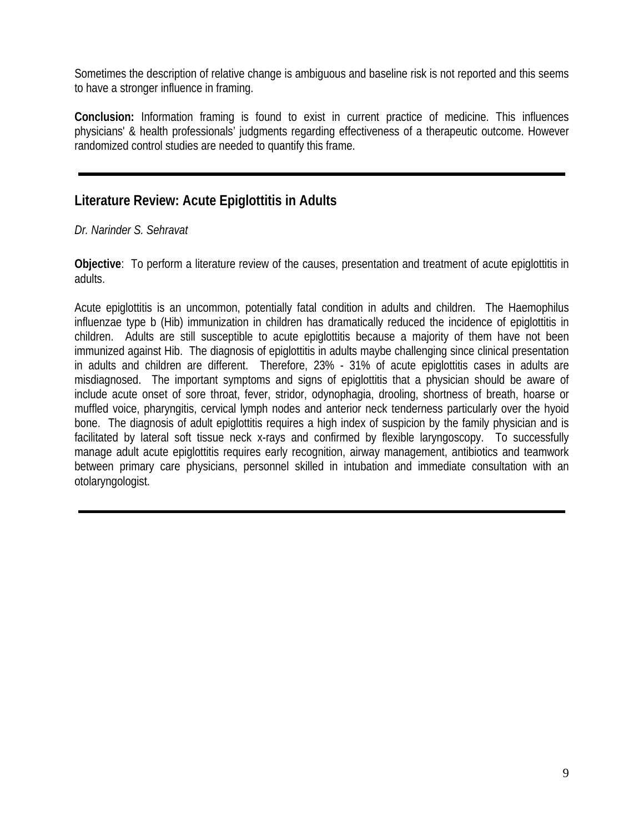Sometimes the description of relative change is ambiguous and baseline risk is not reported and this seems to have a stronger influence in framing.

**Conclusion:** Information framing is found to exist in current practice of medicine. This influences physicians' & health professionals' judgments regarding effectiveness of a therapeutic outcome. However randomized control studies are needed to quantify this frame.

# **Literature Review: Acute Epiglottitis in Adults**

### *Dr. Narinder S. Sehravat*

**Objective**: To perform a literature review of the causes, presentation and treatment of acute epiglottitis in adults.

Acute epiglottitis is an uncommon, potentially fatal condition in adults and children. The Haemophilus influenzae type b (Hib) immunization in children has dramatically reduced the incidence of epiglottitis in children. Adults are still susceptible to acute epiglottitis because a majority of them have not been immunized against Hib. The diagnosis of epiglottitis in adults maybe challenging since clinical presentation in adults and children are different. Therefore, 23% - 31% of acute epiglottitis cases in adults are misdiagnosed. The important symptoms and signs of epiglottitis that a physician should be aware of include acute onset of sore throat, fever, stridor, odynophagia, drooling, shortness of breath, hoarse or muffled voice, pharyngitis, cervical lymph nodes and anterior neck tenderness particularly over the hyoid bone. The diagnosis of adult epiglottitis requires a high index of suspicion by the family physician and is facilitated by lateral soft tissue neck x-rays and confirmed by flexible laryngoscopy. To successfully manage adult acute epiglottitis requires early recognition, airway management, antibiotics and teamwork between primary care physicians, personnel skilled in intubation and immediate consultation with an otolaryngologist.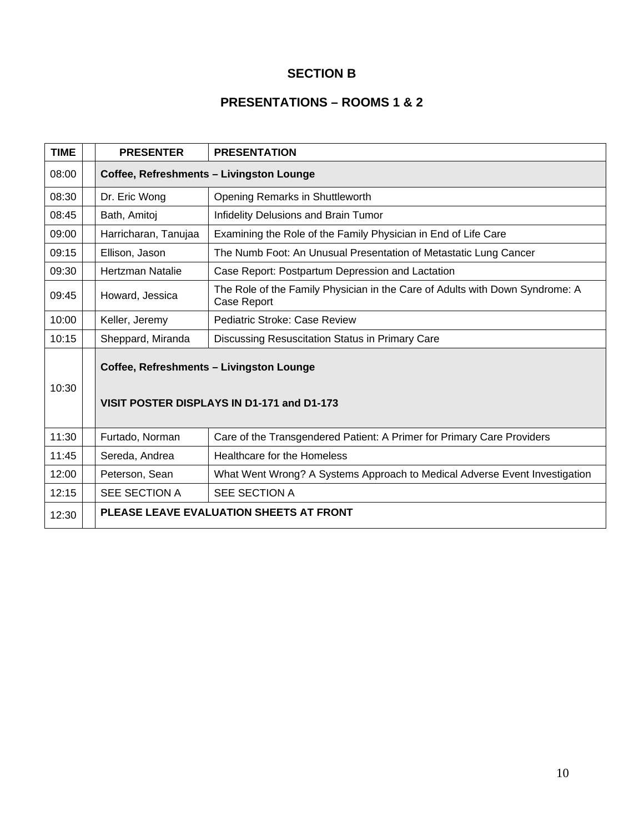### **SECTION B**

# **PRESENTATIONS – ROOMS 1 & 2**

| <b>TIME</b> | <b>PRESENTER</b>                                                                       | <b>PRESENTATION</b>                                                                                |  |  |  |
|-------------|----------------------------------------------------------------------------------------|----------------------------------------------------------------------------------------------------|--|--|--|
| 08:00       | Coffee, Refreshments - Livingston Lounge                                               |                                                                                                    |  |  |  |
| 08:30       | Dr. Eric Wong                                                                          | Opening Remarks in Shuttleworth                                                                    |  |  |  |
| 08:45       | Bath, Amitoj                                                                           | Infidelity Delusions and Brain Tumor                                                               |  |  |  |
| 09:00       | Harricharan, Tanujaa                                                                   | Examining the Role of the Family Physician in End of Life Care                                     |  |  |  |
| 09:15       | Ellison, Jason                                                                         | The Numb Foot: An Unusual Presentation of Metastatic Lung Cancer                                   |  |  |  |
| 09:30       | Hertzman Natalie                                                                       | Case Report: Postpartum Depression and Lactation                                                   |  |  |  |
| 09:45       | Howard, Jessica                                                                        | The Role of the Family Physician in the Care of Adults with Down Syndrome: A<br><b>Case Report</b> |  |  |  |
| 10:00       | Keller, Jeremy                                                                         | Pediatric Stroke: Case Review                                                                      |  |  |  |
| 10:15       | Sheppard, Miranda                                                                      | Discussing Resuscitation Status in Primary Care                                                    |  |  |  |
| 10:30       | Coffee, Refreshments - Livingston Lounge<br>VISIT POSTER DISPLAYS IN D1-171 and D1-173 |                                                                                                    |  |  |  |
| 11:30       | Furtado, Norman                                                                        | Care of the Transgendered Patient: A Primer for Primary Care Providers                             |  |  |  |
| 11:45       | Sereda, Andrea                                                                         | <b>Healthcare for the Homeless</b>                                                                 |  |  |  |
| 12:00       | Peterson, Sean                                                                         | What Went Wrong? A Systems Approach to Medical Adverse Event Investigation                         |  |  |  |
| 12:15       | SEE SECTION A                                                                          | SEE SECTION A                                                                                      |  |  |  |
| 12:30       |                                                                                        | PLEASE LEAVE EVALUATION SHEETS AT FRONT                                                            |  |  |  |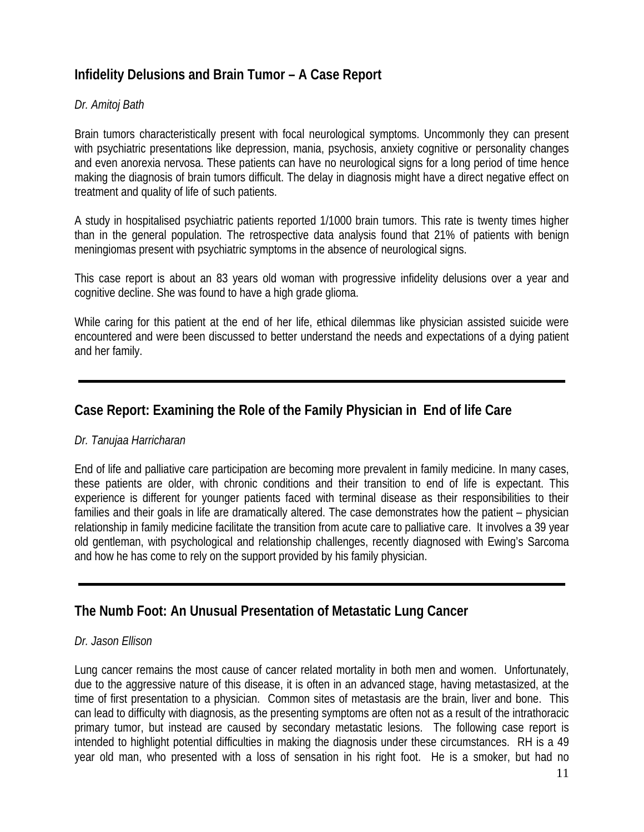# **Infidelity Delusions and Brain Tumor – A Case Report**

### *Dr. Amitoj Bath*

Brain tumors characteristically present with focal neurological symptoms. Uncommonly they can present with psychiatric presentations like depression, mania, psychosis, anxiety cognitive or personality changes and even anorexia nervosa. These patients can have no neurological signs for a long period of time hence making the diagnosis of brain tumors difficult. The delay in diagnosis might have a direct negative effect on treatment and quality of life of such patients.

A study in hospitalised psychiatric patients reported 1/1000 brain tumors. This rate is twenty times higher than in the general population. The retrospective data analysis found that 21% of patients with benign meningiomas present with psychiatric symptoms in the absence of neurological signs.

This case report is about an 83 years old woman with progressive infidelity delusions over a year and cognitive decline. She was found to have a high grade glioma.

While caring for this patient at the end of her life, ethical dilemmas like physician assisted suicide were encountered and were been discussed to better understand the needs and expectations of a dying patient and her family.

# **Case Report: Examining the Role of the Family Physician in End of life Care**

### *Dr. Tanujaa Harricharan*

End of life and palliative care participation are becoming more prevalent in family medicine. In many cases, these patients are older, with chronic conditions and their transition to end of life is expectant. This experience is different for younger patients faced with terminal disease as their responsibilities to their families and their goals in life are dramatically altered. The case demonstrates how the patient – physician relationship in family medicine facilitate the transition from acute care to palliative care. It involves a 39 year old gentleman, with psychological and relationship challenges, recently diagnosed with Ewing's Sarcoma and how he has come to rely on the support provided by his family physician.

# **The Numb Foot: An Unusual Presentation of Metastatic Lung Cancer**

### *Dr. Jason Ellison*

Lung cancer remains the most cause of cancer related mortality in both men and women. Unfortunately, due to the aggressive nature of this disease, it is often in an advanced stage, having metastasized, at the time of first presentation to a physician. Common sites of metastasis are the brain, liver and bone. This can lead to difficulty with diagnosis, as the presenting symptoms are often not as a result of the intrathoracic primary tumor, but instead are caused by secondary metastatic lesions. The following case report is intended to highlight potential difficulties in making the diagnosis under these circumstances. RH is a 49 year old man, who presented with a loss of sensation in his right foot. He is a smoker, but had no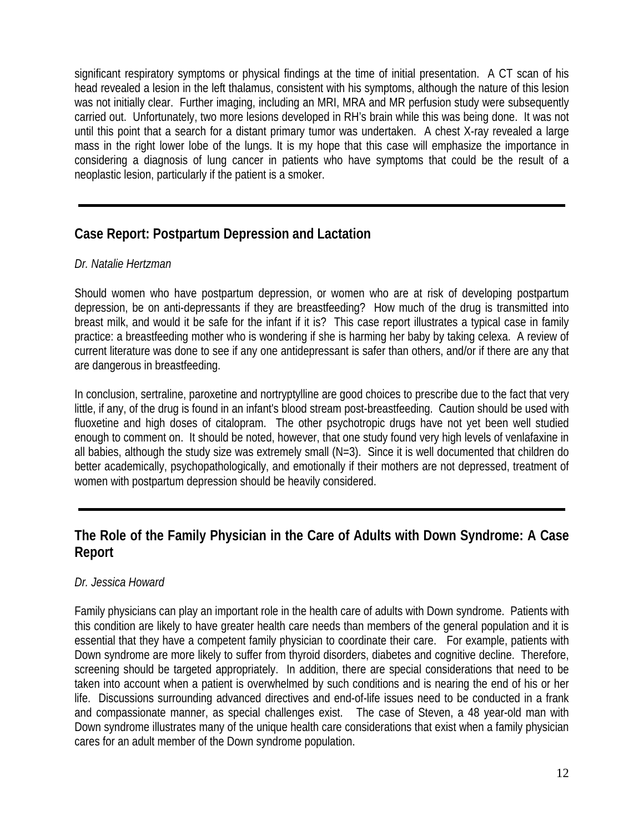significant respiratory symptoms or physical findings at the time of initial presentation. A CT scan of his head revealed a lesion in the left thalamus, consistent with his symptoms, although the nature of this lesion was not initially clear. Further imaging, including an MRI, MRA and MR perfusion study were subsequently carried out. Unfortunately, two more lesions developed in RH's brain while this was being done. It was not until this point that a search for a distant primary tumor was undertaken. A chest X-ray revealed a large mass in the right lower lobe of the lungs. It is my hope that this case will emphasize the importance in considering a diagnosis of lung cancer in patients who have symptoms that could be the result of a neoplastic lesion, particularly if the patient is a smoker.

# **Case Report: Postpartum Depression and Lactation**

### *Dr. Natalie Hertzman*

Should women who have postpartum depression, or women who are at risk of developing postpartum depression, be on anti-depressants if they are breastfeeding? How much of the drug is transmitted into breast milk, and would it be safe for the infant if it is? This case report illustrates a typical case in family practice: a breastfeeding mother who is wondering if she is harming her baby by taking celexa. A review of current literature was done to see if any one antidepressant is safer than others, and/or if there are any that are dangerous in breastfeeding.

In conclusion, sertraline, paroxetine and nortryptylline are good choices to prescribe due to the fact that very little, if any, of the drug is found in an infant's blood stream post-breastfeeding. Caution should be used with fluoxetine and high doses of citalopram. The other psychotropic drugs have not yet been well studied enough to comment on. It should be noted, however, that one study found very high levels of venlafaxine in all babies, although the study size was extremely small (N=3). Since it is well documented that children do better academically, psychopathologically, and emotionally if their mothers are not depressed, treatment of women with postpartum depression should be heavily considered.

# **The Role of the Family Physician in the Care of Adults with Down Syndrome: A Case Report**

### *Dr. Jessica Howard*

Family physicians can play an important role in the health care of adults with Down syndrome. Patients with this condition are likely to have greater health care needs than members of the general population and it is essential that they have a competent family physician to coordinate their care. For example, patients with Down syndrome are more likely to suffer from thyroid disorders, diabetes and cognitive decline. Therefore, screening should be targeted appropriately. In addition, there are special considerations that need to be taken into account when a patient is overwhelmed by such conditions and is nearing the end of his or her life. Discussions surrounding advanced directives and end-of-life issues need to be conducted in a frank and compassionate manner, as special challenges exist. The case of Steven, a 48 year-old man with Down syndrome illustrates many of the unique health care considerations that exist when a family physician cares for an adult member of the Down syndrome population.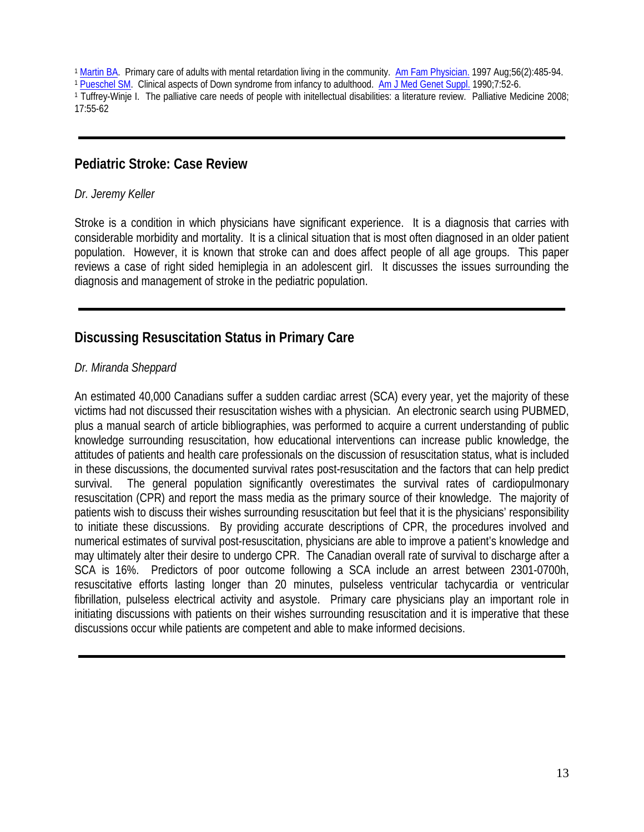<sup>1</sup> [Martin BA](http://www.ncbi.nlm.nih.gov.proxy1.lib.uwo.ca:2048/sites/entrez?Db=pubmed&Cmd=Search&Term=%22Martin%20BA%22%5BAuthor%5D&itool=EntrezSystem2.PEntrez.Pubmed.Pubmed_ResultsPanel.Pubmed_DiscoveryPanel.Pubmed_RVAbstractPlus). Primary care of adults with mental retardation living in the community. [Am Fam Physician.](javascript:AL_get(this,%20) 1997 Aug;56(2):485-94.

<sup>1</sup> [Pueschel SM](http://www.ncbi.nlm.nih.gov.proxy1.lib.uwo.ca:2048/sites/entrez?Db=pubmed&Cmd=Search&Term=%22Pueschel%20SM%22%5BAuthor%5D&itool=EntrezSystem2.PEntrez.Pubmed.Pubmed_ResultsPanel.Pubmed_DiscoveryPanel.Pubmed_RVAbstractPlus). Clinical aspects of Down syndrome from infancy to adulthood. [Am J Med Genet Suppl.](javascript:AL_get(this,%20) 1990;7:52-6.

1 Tuffrey-Winje I. The palliative care needs of people with initellectual disabilities: a literature review. Palliative Medicine 2008; 17:55-62

### **Pediatric Stroke: Case Review**

#### *Dr. Jeremy Keller*

Stroke is a condition in which physicians have significant experience. It is a diagnosis that carries with considerable morbidity and mortality. It is a clinical situation that is most often diagnosed in an older patient population. However, it is known that stroke can and does affect people of all age groups. This paper reviews a case of right sided hemiplegia in an adolescent girl. It discusses the issues surrounding the diagnosis and management of stroke in the pediatric population.

### **Discussing Resuscitation Status in Primary Care**

### *Dr. Miranda Sheppard*

An estimated 40,000 Canadians suffer a sudden cardiac arrest (SCA) every year, yet the majority of these victims had not discussed their resuscitation wishes with a physician. An electronic search using PUBMED, plus a manual search of article bibliographies, was performed to acquire a current understanding of public knowledge surrounding resuscitation, how educational interventions can increase public knowledge, the attitudes of patients and health care professionals on the discussion of resuscitation status, what is included in these discussions, the documented survival rates post-resuscitation and the factors that can help predict survival. The general population significantly overestimates the survival rates of cardiopulmonary resuscitation (CPR) and report the mass media as the primary source of their knowledge. The majority of patients wish to discuss their wishes surrounding resuscitation but feel that it is the physicians' responsibility to initiate these discussions. By providing accurate descriptions of CPR, the procedures involved and numerical estimates of survival post-resuscitation, physicians are able to improve a patient's knowledge and may ultimately alter their desire to undergo CPR. The Canadian overall rate of survival to discharge after a SCA is 16%. Predictors of poor outcome following a SCA include an arrest between 2301-0700h, resuscitative efforts lasting longer than 20 minutes, pulseless ventricular tachycardia or ventricular fibrillation, pulseless electrical activity and asystole. Primary care physicians play an important role in initiating discussions with patients on their wishes surrounding resuscitation and it is imperative that these discussions occur while patients are competent and able to make informed decisions.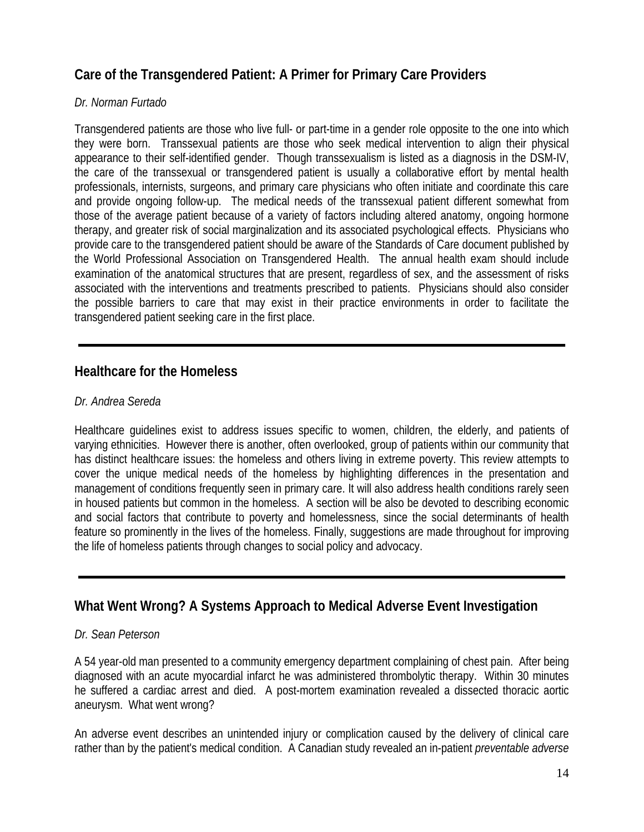# **Care of the Transgendered Patient: A Primer for Primary Care Providers**

### *Dr. Norman Furtado*

Transgendered patients are those who live full- or part-time in a gender role opposite to the one into which they were born. Transsexual patients are those who seek medical intervention to align their physical appearance to their self-identified gender. Though transsexualism is listed as a diagnosis in the DSM-IV, the care of the transsexual or transgendered patient is usually a collaborative effort by mental health professionals, internists, surgeons, and primary care physicians who often initiate and coordinate this care and provide ongoing follow-up. The medical needs of the transsexual patient different somewhat from those of the average patient because of a variety of factors including altered anatomy, ongoing hormone therapy, and greater risk of social marginalization and its associated psychological effects. Physicians who provide care to the transgendered patient should be aware of the Standards of Care document published by the World Professional Association on Transgendered Health. The annual health exam should include examination of the anatomical structures that are present, regardless of sex, and the assessment of risks associated with the interventions and treatments prescribed to patients. Physicians should also consider the possible barriers to care that may exist in their practice environments in order to facilitate the transgendered patient seeking care in the first place.

### **Healthcare for the Homeless**

### *Dr. Andrea Sereda*

Healthcare guidelines exist to address issues specific to women, children, the elderly, and patients of varying ethnicities. However there is another, often overlooked, group of patients within our community that has distinct healthcare issues: the homeless and others living in extreme poverty. This review attempts to cover the unique medical needs of the homeless by highlighting differences in the presentation and management of conditions frequently seen in primary care. It will also address health conditions rarely seen in housed patients but common in the homeless. A section will be also be devoted to describing economic and social factors that contribute to poverty and homelessness, since the social determinants of health feature so prominently in the lives of the homeless. Finally, suggestions are made throughout for improving the life of homeless patients through changes to social policy and advocacy.

# **What Went Wrong? A Systems Approach to Medical Adverse Event Investigation**

### *Dr. Sean Peterson*

A 54 year-old man presented to a community emergency department complaining of chest pain. After being diagnosed with an acute myocardial infarct he was administered thrombolytic therapy. Within 30 minutes he suffered a cardiac arrest and died. A post-mortem examination revealed a dissected thoracic aortic aneurysm. What went wrong?

An adverse event describes an unintended injury or complication caused by the delivery of clinical care rather than by the patient's medical condition. A Canadian study revealed an in-patient *preventable adverse*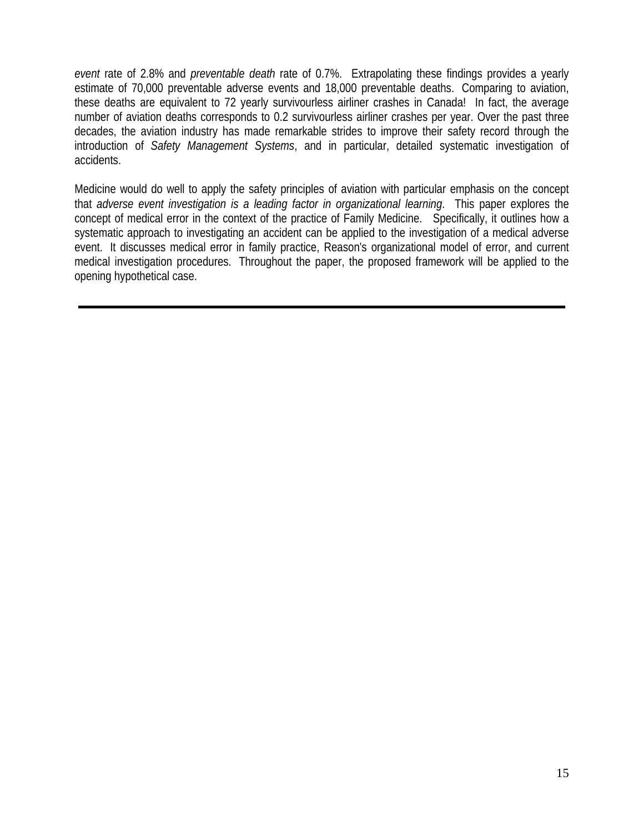*event* rate of 2.8% and *preventable death* rate of 0.7%. Extrapolating these findings provides a yearly estimate of 70,000 preventable adverse events and 18,000 preventable deaths. Comparing to aviation, these deaths are equivalent to 72 yearly survivourless airliner crashes in Canada! In fact, the average number of aviation deaths corresponds to 0.2 survivourless airliner crashes per year. Over the past three decades, the aviation industry has made remarkable strides to improve their safety record through the introduction of *Safety Management Systems*, and in particular, detailed systematic investigation of accidents.

Medicine would do well to apply the safety principles of aviation with particular emphasis on the concept that *adverse event investigation is a leading factor in organizational learning*. This paper explores the concept of medical error in the context of the practice of Family Medicine. Specifically, it outlines how a systematic approach to investigating an accident can be applied to the investigation of a medical adverse event. It discusses medical error in family practice, Reason's organizational model of error, and current medical investigation procedures. Throughout the paper, the proposed framework will be applied to the opening hypothetical case.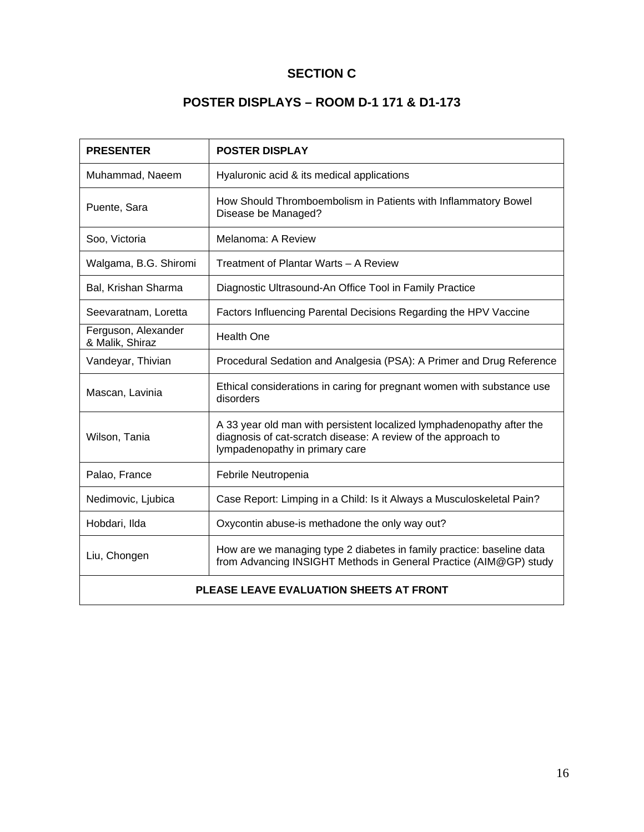# **SECTION C**

# **POSTER DISPLAYS – ROOM D-1 171 & D1-173**

| <b>PRESENTER</b>                        | <b>POSTER DISPLAY</b>                                                                                                                                                    |  |  |  |  |
|-----------------------------------------|--------------------------------------------------------------------------------------------------------------------------------------------------------------------------|--|--|--|--|
| Muhammad, Naeem                         | Hyaluronic acid & its medical applications                                                                                                                               |  |  |  |  |
| Puente, Sara                            | How Should Thromboembolism in Patients with Inflammatory Bowel<br>Disease be Managed?                                                                                    |  |  |  |  |
| Soo, Victoria                           | Melanoma: A Review                                                                                                                                                       |  |  |  |  |
| Walgama, B.G. Shiromi                   | Treatment of Plantar Warts - A Review                                                                                                                                    |  |  |  |  |
| Bal, Krishan Sharma                     | Diagnostic Ultrasound-An Office Tool in Family Practice                                                                                                                  |  |  |  |  |
| Seevaratnam, Loretta                    | Factors Influencing Parental Decisions Regarding the HPV Vaccine                                                                                                         |  |  |  |  |
| Ferguson, Alexander<br>& Malik, Shiraz  | <b>Health One</b>                                                                                                                                                        |  |  |  |  |
| Vandeyar, Thivian                       | Procedural Sedation and Analgesia (PSA): A Primer and Drug Reference                                                                                                     |  |  |  |  |
| Mascan, Lavinia                         | Ethical considerations in caring for pregnant women with substance use<br>disorders                                                                                      |  |  |  |  |
| Wilson, Tania                           | A 33 year old man with persistent localized lymphadenopathy after the<br>diagnosis of cat-scratch disease: A review of the approach to<br>lympadenopathy in primary care |  |  |  |  |
| Palao, France                           | Febrile Neutropenia                                                                                                                                                      |  |  |  |  |
| Nedimovic, Ljubica                      | Case Report: Limping in a Child: Is it Always a Musculoskeletal Pain?                                                                                                    |  |  |  |  |
| Hobdari, Ilda                           | Oxycontin abuse-is methadone the only way out?                                                                                                                           |  |  |  |  |
| Liu, Chongen                            | How are we managing type 2 diabetes in family practice: baseline data<br>from Advancing INSIGHT Methods in General Practice (AIM@GP) study                               |  |  |  |  |
| PLEASE LEAVE EVALUATION SHEETS AT FRONT |                                                                                                                                                                          |  |  |  |  |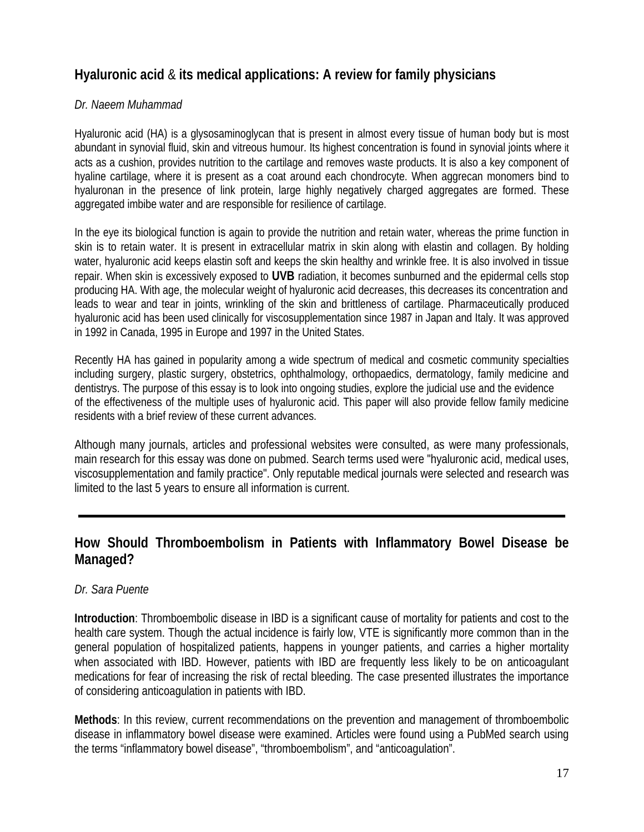# **Hyaluronic acid** & **its medical applications: A review for family physicians**

### *Dr. Naeem Muhammad*

Hyaluronic acid (HA) is a glysosaminoglycan that is present in almost every tissue of human body but is most abundant in synovial fluid, skin and vitreous humour. Its highest concentration is found in synovial joints where it acts as a cushion, provides nutrition to the cartilage and removes waste products. It is also a key component of hyaline cartilage, where it is present as a coat around each chondrocyte. When aggrecan monomers bind to hyaluronan in the presence of link protein, large highly negatively charged aggregates are formed. These aggregated imbibe water and are responsible for resilience of cartilage.

In the eye its biological function is again to provide the nutrition and retain water, whereas the prime function in skin is to retain water. It is present in extracellular matrix in skin along with elastin and collagen. By holding water, hyaluronic acid keeps elastin soft and keeps the skin healthy and wrinkle free. It is also involved in tissue repair. When skin is excessively exposed to **UVB** radiation, it becomes sunburned and the epidermal cells stop producing HA. With age, the molecular weight of hyaluronic acid decreases, this decreases its concentration and leads to wear and tear in joints, wrinkling of the skin and brittleness of cartilage. Pharmaceutically produced hyaluronic acid has been used clinically for viscosupplementation since 1987 in Japan and Italy. It was approved in 1992 in Canada, 1995 in Europe and 1997 in the United States.

Recently HA has gained in popularity among a wide spectrum of medical and cosmetic community specialties including surgery, plastic surgery, obstetrics, ophthalmology, orthopaedics, dermatology, family medicine and dentistrys. The purpose of this essay is to look into ongoing studies, explore the judicial use and the evidence of the effectiveness of the multiple uses of hyaluronic acid. This paper will also provide fellow family medicine residents with a brief review of these current advances.

Although many journals, articles and professional websites were consulted, as were many professionals, main research for this essay was done on pubmed. Search terms used were "hyaluronic acid, medical uses, viscosupplementation and family practice". Only reputable medical journals were selected and research was limited to the last 5 years to ensure all information is current.

# **How Should Thromboembolism in Patients with Inflammatory Bowel Disease be Managed?**

### *Dr. Sara Puente*

**Introduction**: Thromboembolic disease in IBD is a significant cause of mortality for patients and cost to the health care system. Though the actual incidence is fairly low, VTE is significantly more common than in the general population of hospitalized patients, happens in younger patients, and carries a higher mortality when associated with IBD. However, patients with IBD are frequently less likely to be on anticoagulant medications for fear of increasing the risk of rectal bleeding. The case presented illustrates the importance of considering anticoagulation in patients with IBD.

**Methods**: In this review, current recommendations on the prevention and management of thromboembolic disease in inflammatory bowel disease were examined. Articles were found using a PubMed search using the terms "inflammatory bowel disease", "thromboembolism", and "anticoagulation".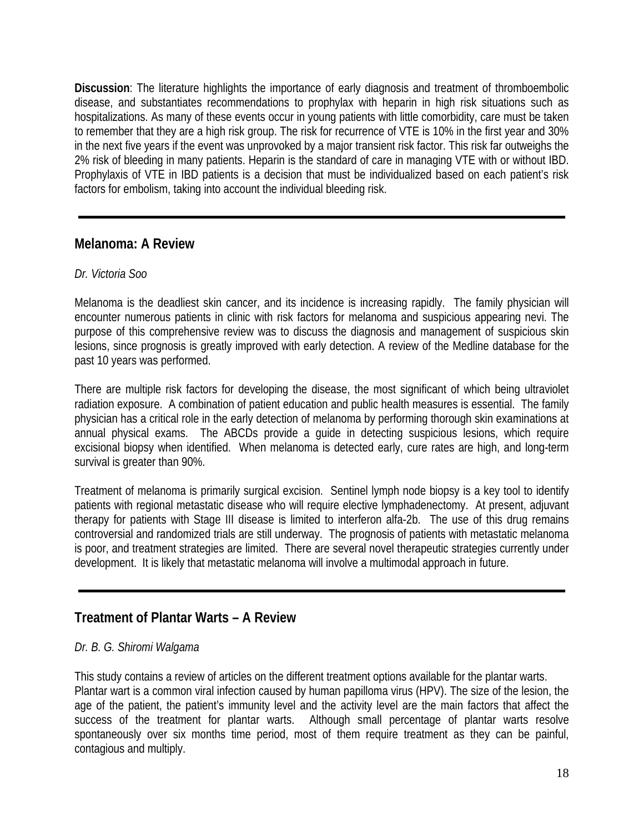**Discussion**: The literature highlights the importance of early diagnosis and treatment of thromboembolic disease, and substantiates recommendations to prophylax with heparin in high risk situations such as hospitalizations. As many of these events occur in young patients with little comorbidity, care must be taken to remember that they are a high risk group. The risk for recurrence of VTE is 10% in the first year and 30% in the next five years if the event was unprovoked by a major transient risk factor. This risk far outweighs the 2% risk of bleeding in many patients. Heparin is the standard of care in managing VTE with or without IBD. Prophylaxis of VTE in IBD patients is a decision that must be individualized based on each patient's risk factors for embolism, taking into account the individual bleeding risk.

### **Melanoma: A Review**

### *Dr. Victoria Soo*

Melanoma is the deadliest skin cancer, and its incidence is increasing rapidly. The family physician will encounter numerous patients in clinic with risk factors for melanoma and suspicious appearing nevi. The purpose of this comprehensive review was to discuss the diagnosis and management of suspicious skin lesions, since prognosis is greatly improved with early detection. A review of the Medline database for the past 10 years was performed.

There are multiple risk factors for developing the disease, the most significant of which being ultraviolet radiation exposure. A combination of patient education and public health measures is essential. The family physician has a critical role in the early detection of melanoma by performing thorough skin examinations at annual physical exams. The ABCDs provide a guide in detecting suspicious lesions, which require excisional biopsy when identified. When melanoma is detected early, cure rates are high, and long-term survival is greater than 90%.

Treatment of melanoma is primarily surgical excision. Sentinel lymph node biopsy is a key tool to identify patients with regional metastatic disease who will require elective lymphadenectomy. At present, adjuvant therapy for patients with Stage III disease is limited to interferon alfa-2b. The use of this drug remains controversial and randomized trials are still underway. The prognosis of patients with metastatic melanoma is poor, and treatment strategies are limited. There are several novel therapeutic strategies currently under development. It is likely that metastatic melanoma will involve a multimodal approach in future.

# **Treatment of Plantar Warts – A Review**

### *Dr. B. G. Shiromi Walgama*

This study contains a review of articles on the different treatment options available for the plantar warts. Plantar wart is a common viral infection caused by human papilloma virus (HPV). The size of the lesion, the age of the patient, the patient's immunity level and the activity level are the main factors that affect the success of the treatment for plantar warts. Although small percentage of plantar warts resolve spontaneously over six months time period, most of them require treatment as they can be painful, contagious and multiply.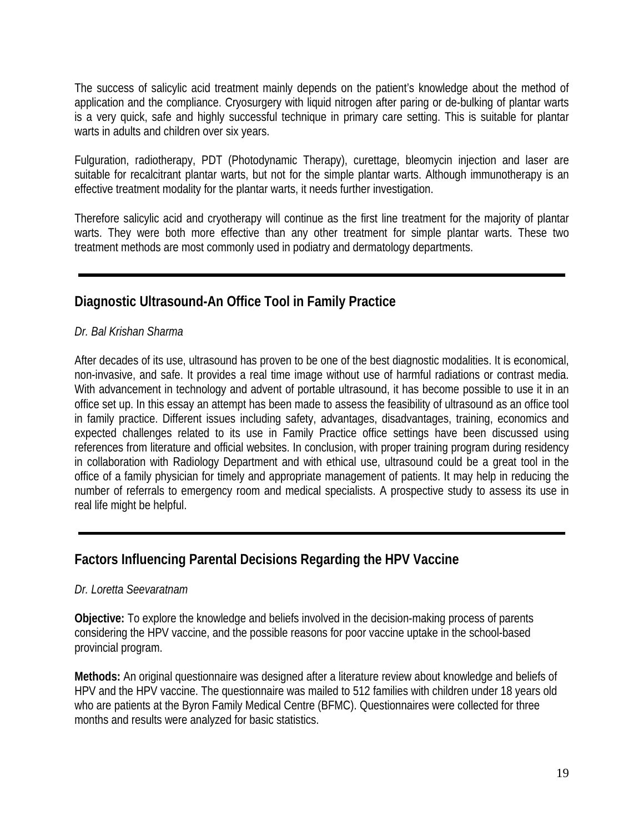The success of salicylic acid treatment mainly depends on the patient's knowledge about the method of application and the compliance. Cryosurgery with liquid nitrogen after paring or de-bulking of plantar warts is a very quick, safe and highly successful technique in primary care setting. This is suitable for plantar warts in adults and children over six years.

Fulguration, radiotherapy, PDT (Photodynamic Therapy), curettage, bleomycin injection and laser are suitable for recalcitrant plantar warts, but not for the simple plantar warts. Although immunotherapy is an effective treatment modality for the plantar warts, it needs further investigation.

Therefore salicylic acid and cryotherapy will continue as the first line treatment for the majority of plantar warts. They were both more effective than any other treatment for simple plantar warts. These two treatment methods are most commonly used in podiatry and dermatology departments.

# **Diagnostic Ultrasound-An Office Tool in Family Practice**

### *Dr. Bal Krishan Sharma*

After decades of its use, ultrasound has proven to be one of the best diagnostic modalities. It is economical, non-invasive, and safe. It provides a real time image without use of harmful radiations or contrast media. With advancement in technology and advent of portable ultrasound, it has become possible to use it in an office set up. In this essay an attempt has been made to assess the feasibility of ultrasound as an office tool in family practice. Different issues including safety, advantages, disadvantages, training, economics and expected challenges related to its use in Family Practice office settings have been discussed using references from literature and official websites. In conclusion, with proper training program during residency in collaboration with Radiology Department and with ethical use, ultrasound could be a great tool in the office of a family physician for timely and appropriate management of patients. It may help in reducing the number of referrals to emergency room and medical specialists. A prospective study to assess its use in real life might be helpful.

# **Factors Influencing Parental Decisions Regarding the HPV Vaccine**

### *Dr. Loretta Seevaratnam*

**Objective:** To explore the knowledge and beliefs involved in the decision-making process of parents considering the HPV vaccine, and the possible reasons for poor vaccine uptake in the school-based provincial program.

**Methods:** An original questionnaire was designed after a literature review about knowledge and beliefs of HPV and the HPV vaccine. The questionnaire was mailed to 512 families with children under 18 years old who are patients at the Byron Family Medical Centre (BFMC). Questionnaires were collected for three months and results were analyzed for basic statistics.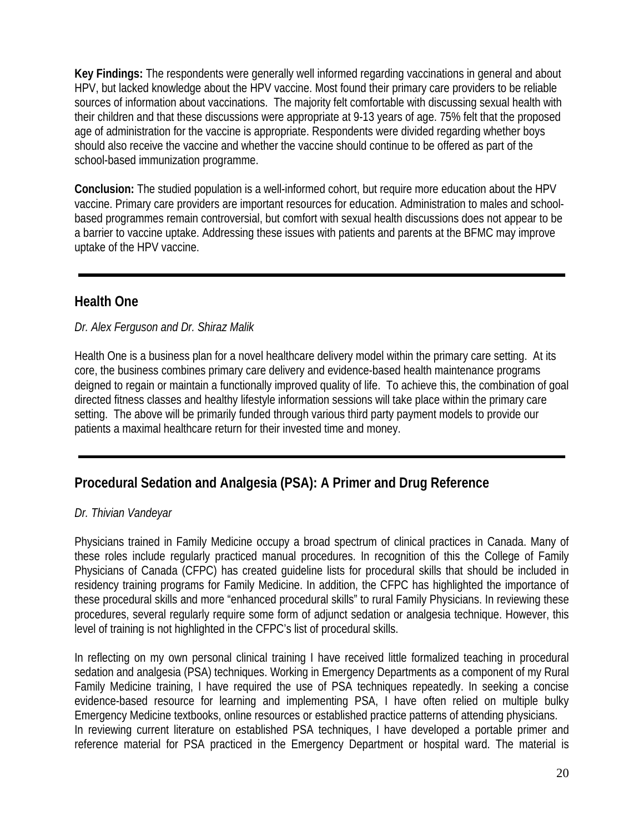**Key Findings:** The respondents were generally well informed regarding vaccinations in general and about HPV, but lacked knowledge about the HPV vaccine. Most found their primary care providers to be reliable sources of information about vaccinations. The majority felt comfortable with discussing sexual health with their children and that these discussions were appropriate at 9-13 years of age. 75% felt that the proposed age of administration for the vaccine is appropriate. Respondents were divided regarding whether boys should also receive the vaccine and whether the vaccine should continue to be offered as part of the school-based immunization programme.

**Conclusion:** The studied population is a well-informed cohort, but require more education about the HPV vaccine. Primary care providers are important resources for education. Administration to males and schoolbased programmes remain controversial, but comfort with sexual health discussions does not appear to be a barrier to vaccine uptake. Addressing these issues with patients and parents at the BFMC may improve uptake of the HPV vaccine.

# **Health One**

*Dr. Alex Ferguson and Dr. Shiraz Malik* 

Health One is a business plan for a novel healthcare delivery model within the primary care setting. At its core, the business combines primary care delivery and evidence-based health maintenance programs deigned to regain or maintain a functionally improved quality of life. To achieve this, the combination of goal directed fitness classes and healthy lifestyle information sessions will take place within the primary care setting. The above will be primarily funded through various third party payment models to provide our patients a maximal healthcare return for their invested time and money.

# **Procedural Sedation and Analgesia (PSA): A Primer and Drug Reference**

### *Dr. Thivian Vandeyar*

Physicians trained in Family Medicine occupy a broad spectrum of clinical practices in Canada. Many of these roles include regularly practiced manual procedures. In recognition of this the College of Family Physicians of Canada (CFPC) has created guideline lists for procedural skills that should be included in residency training programs for Family Medicine. In addition, the CFPC has highlighted the importance of these procedural skills and more "enhanced procedural skills" to rural Family Physicians. In reviewing these procedures, several regularly require some form of adjunct sedation or analgesia technique. However, this level of training is not highlighted in the CFPC's list of procedural skills.

In reflecting on my own personal clinical training I have received little formalized teaching in procedural sedation and analgesia (PSA) techniques. Working in Emergency Departments as a component of my Rural Family Medicine training, I have required the use of PSA techniques repeatedly. In seeking a concise evidence-based resource for learning and implementing PSA, I have often relied on multiple bulky Emergency Medicine textbooks, online resources or established practice patterns of attending physicians. In reviewing current literature on established PSA techniques, I have developed a portable primer and reference material for PSA practiced in the Emergency Department or hospital ward. The material is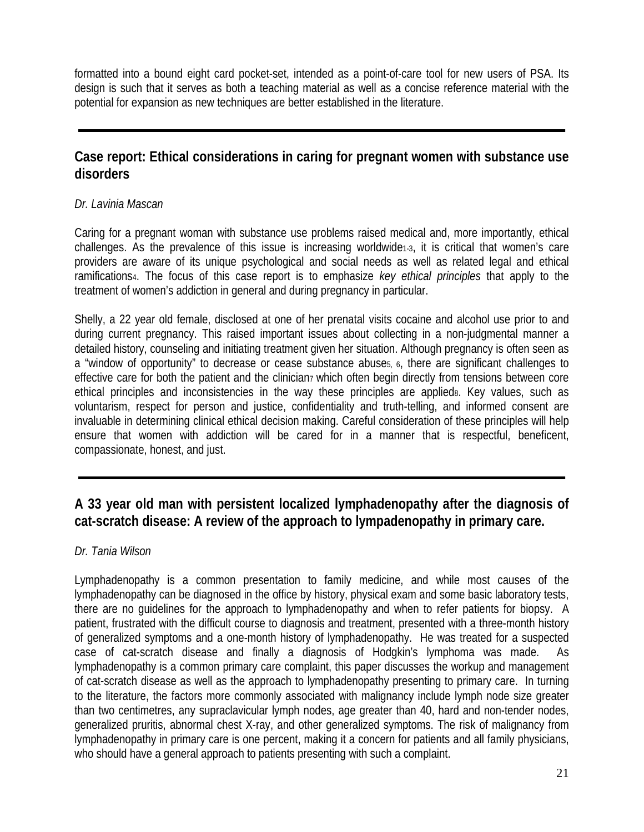formatted into a bound eight card pocket-set, intended as a point-of-care tool for new users of PSA. Its design is such that it serves as both a teaching material as well as a concise reference material with the potential for expansion as new techniques are better established in the literature.

# **Case report: Ethical considerations in caring for pregnant women with substance use disorders**

### *Dr. Lavinia Mascan*

Caring for a pregnant woman with substance use problems raised medical and, more importantly, ethical challenges. As the prevalence of this issue is increasing worldwide1-3, it is critical that women's care providers are aware of its unique psychological and social needs as well as related legal and ethical ramifications4. The focus of this case report is to emphasize *key ethical principles* that apply to the treatment of women's addiction in general and during pregnancy in particular.

Shelly, a 22 year old female, disclosed at one of her prenatal visits cocaine and alcohol use prior to and during current pregnancy. This raised important issues about collecting in a non-judgmental manner a detailed history, counseling and initiating treatment given her situation. Although pregnancy is often seen as a "window of opportunity" to decrease or cease substance abuse5, 6, there are significant challenges to effective care for both the patient and the clinician<sub>7</sub> which often begin directly from tensions between core ethical principles and inconsistencies in the way these principles are applieds. Key values, such as voluntarism, respect for person and justice, confidentiality and truth-telling, and informed consent are invaluable in determining clinical ethical decision making. Careful consideration of these principles will help ensure that women with addiction will be cared for in a manner that is respectful, beneficent, compassionate, honest, and just.

# **A 33 year old man with persistent localized lymphadenopathy after the diagnosis of cat-scratch disease: A review of the approach to lympadenopathy in primary care.**

### *Dr. Tania Wilson*

Lymphadenopathy is a common presentation to family medicine, and while most causes of the lymphadenopathy can be diagnosed in the office by history, physical exam and some basic laboratory tests, there are no guidelines for the approach to lymphadenopathy and when to refer patients for biopsy. A patient, frustrated with the difficult course to diagnosis and treatment, presented with a three-month history of generalized symptoms and a one-month history of lymphadenopathy. He was treated for a suspected case of cat-scratch disease and finally a diagnosis of Hodgkin's lymphoma was made. As lymphadenopathy is a common primary care complaint, this paper discusses the workup and management of cat-scratch disease as well as the approach to lymphadenopathy presenting to primary care. In turning to the literature, the factors more commonly associated with malignancy include lymph node size greater than two centimetres, any supraclavicular lymph nodes, age greater than 40, hard and non-tender nodes, generalized pruritis, abnormal chest X-ray, and other generalized symptoms. The risk of malignancy from lymphadenopathy in primary care is one percent, making it a concern for patients and all family physicians, who should have a general approach to patients presenting with such a complaint.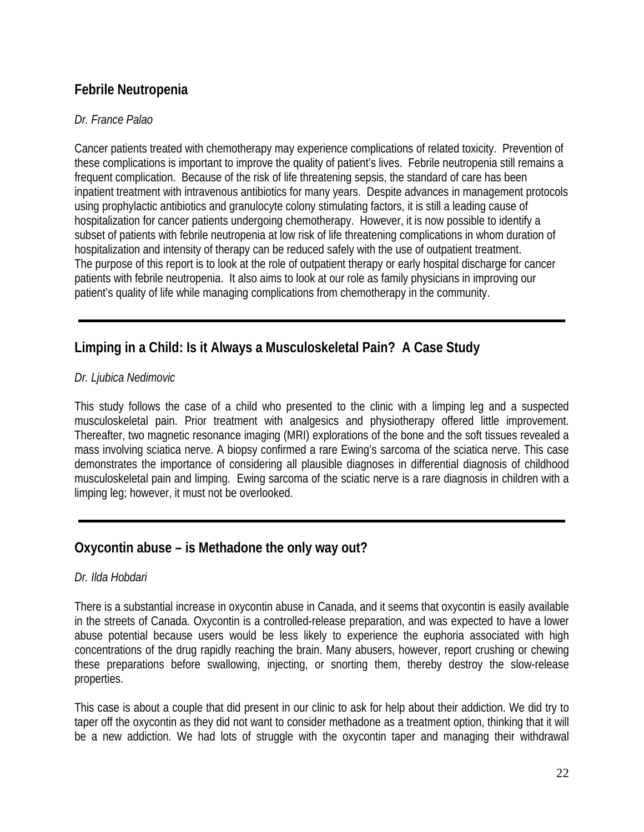# **Febrile Neutropenia**

### *Dr. France Palao*

Cancer patients treated with chemotherapy may experience complications of related toxicity. Prevention of these complications is important to improve the quality of patient's lives. Febrile neutropenia still remains a frequent complication. Because of the risk of life threatening sepsis, the standard of care has been inpatient treatment with intravenous antibiotics for many years. Despite advances in management protocols using prophylactic antibiotics and granulocyte colony stimulating factors, it is still a leading cause of hospitalization for cancer patients undergoing chemotherapy. However, it is now possible to identify a subset of patients with febrile neutropenia at low risk of life threatening complications in whom duration of hospitalization and intensity of therapy can be reduced safely with the use of outpatient treatment. The purpose of this report is to look at the role of outpatient therapy or early hospital discharge for cancer patients with febrile neutropenia. It also aims to look at our role as family physicians in improving our patient's quality of life while managing complications from chemotherapy in the community.

# **Limping in a Child: Is it Always a Musculoskeletal Pain? A Case Study**

### *Dr. Ljubica Nedimovic*

This study follows the case of a child who presented to the clinic with a limping leg and a suspected musculoskeletal pain. Prior treatment with analgesics and physiotherapy offered little improvement. Thereafter, two magnetic resonance imaging (MRI) explorations of the bone and the soft tissues revealed a mass involving sciatica nerve. A biopsy confirmed a rare Ewing's sarcoma of the sciatica nerve. This case demonstrates the importance of considering all plausible diagnoses in differential diagnosis of childhood musculoskeletal pain and limping. Ewing sarcoma of the sciatic nerve is a rare diagnosis in children with a limping leg; however, it must not be overlooked.

### **Oxycontin abuse – is Methadone the only way out?**

### *Dr. Ilda Hobdari*

There is a substantial increase in oxycontin abuse in Canada, and it seems that oxycontin is easily available in the streets of Canada. Oxycontin is a controlled-release preparation, and was expected to have a lower abuse potential because users would be less likely to experience the euphoria associated with high concentrations of the drug rapidly reaching the brain. Many abusers, however, report crushing or chewing these preparations before swallowing, injecting, or snorting them, thereby destroy the slow-release properties.

This case is about a couple that did present in our clinic to ask for help about their addiction. We did try to taper off the oxycontin as they did not want to consider methadone as a treatment option, thinking that it will be a new addiction. We had lots of struggle with the oxycontin taper and managing their withdrawal